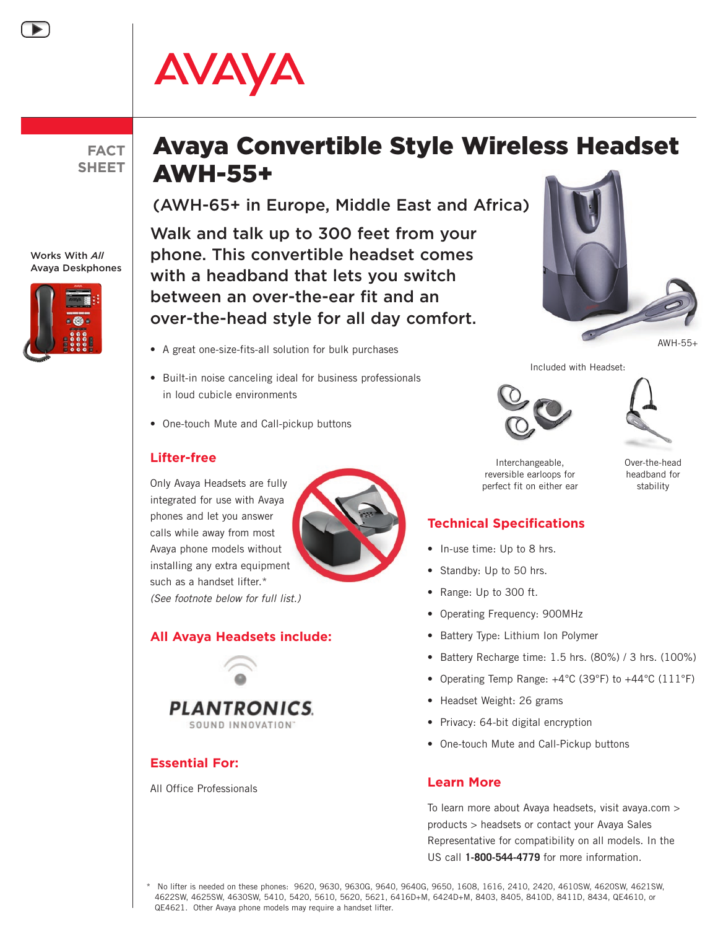# AVAYA

**FACT SHEET**

#### Works With *All* Avaya Deskphones



## Avaya Convertible Style Wireless Headset AWH-55+

(AWH-65+ in Europe, Middle East and Africa)

Walk and talk up to 300 feet from your phone. This convertible headset comes with a headband that lets you switch between an over-the-ear fit and an over-the-head style for all day comfort.

- • A great one-size-fits-all solution for bulk purchases
- Built-in noise canceling ideal for business professionals in loud cubicle environments
- One-touch Mute and Call-pickup buttons

#### **Lifter-free**

Only Avaya Headsets are fully integrated for use with Avaya phones and let you answer calls while away from most Avaya phone models without installing any extra equipment such as a handset lifter.\* *(See footnote below for full list.)*





### **Essential For:**

All Office Professionals





AWH-55+

 Included with Headset:





Interchangeable, Over-the-head reversible earloops for **headband** for perfect fit on either ear but a stability

#### **Technical Specifications**

- In-use time: Up to 8 hrs.
- Standby: Up to 50 hrs.
- Range: Up to 300 ft.
- • Operating Frequency: 900MHz
- Battery Type: Lithium Ion Polymer
- • Battery Recharge time: 1.5 hrs. (80%) / 3 hrs. (100%)
- • Operating Temp Range: +4°C (39°F) to +44°C (111°F)
- Headset Weight: 26 grams
- Privacy: 64-bit digital encryption
- One-touch Mute and Call-Pickup buttons

#### **Learn More**

To learn more about Avaya headsets, visit avaya.com > products > headsets or contact your Avaya Sales Representative for compatibility on all models. In the US call **1-800-544-4779** for more information.

No lifter is needed on these phones: 9620, 9630, 9630G, 9640, 9640G, 9650, 1608, 1616, 2410, 2420, 4610SW, 4620SW, 4621SW, 4622SW, 4625SW, 4630SW, 5410, 5420, 5610, 5620, 5621, 6416D+M, 6424D+M, 8403, 8405, 8410D, 8411D, 8434, QE4610, or QE4621. Other Avaya phone models may require a handset lifter.